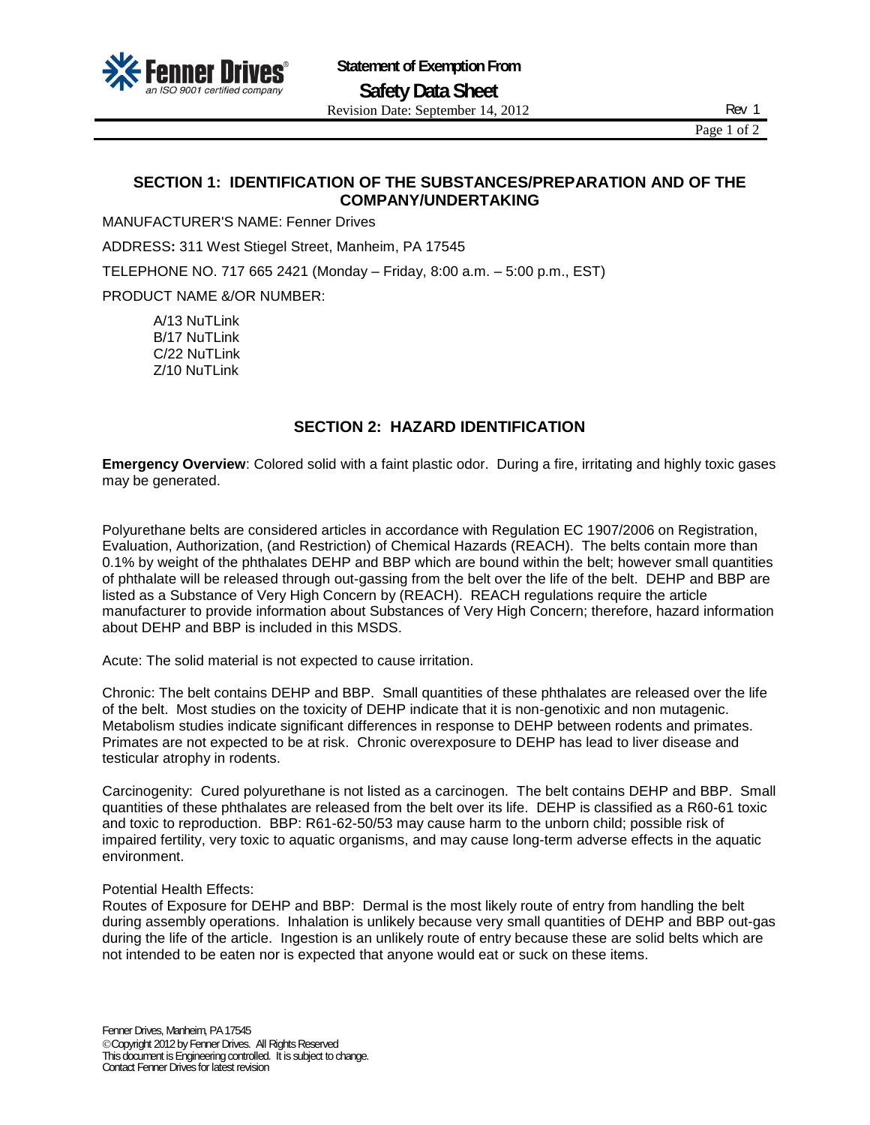

Page 1 of 2

# **SECTION 1: IDENTIFICATION OF THE SUBSTANCES/PREPARATION AND OF THE COMPANY/UNDERTAKING**

MANUFACTURER'S NAME: Fenner Drives

ADDRESS**:** 311 West Stiegel Street, Manheim, PA 17545

TELEPHONE NO. 717 665 2421 (Monday – Friday, 8:00 a.m. – 5:00 p.m., EST)

PRODUCT NAME &/OR NUMBER:

A/13 NuTLink B/17 NuTLink C/22 NuTLink Z/10 NuTLink

## **SECTION 2: HAZARD IDENTIFICATION**

**Emergency Overview**: Colored solid with a faint plastic odor. During a fire, irritating and highly toxic gases may be generated.

Polyurethane belts are considered articles in accordance with Regulation EC 1907/2006 on Registration, Evaluation, Authorization, (and Restriction) of Chemical Hazards (REACH). The belts contain more than 0.1% by weight of the phthalates DEHP and BBP which are bound within the belt; however small quantities of phthalate will be released through out-gassing from the belt over the life of the belt. DEHP and BBP are listed as a Substance of Very High Concern by (REACH). REACH regulations require the article manufacturer to provide information about Substances of Very High Concern; therefore, hazard information about DEHP and BBP is included in this MSDS.

Acute: The solid material is not expected to cause irritation.

Chronic: The belt contains DEHP and BBP. Small quantities of these phthalates are released over the life of the belt. Most studies on the toxicity of DEHP indicate that it is non-genotixic and non mutagenic. Metabolism studies indicate significant differences in response to DEHP between rodents and primates. Primates are not expected to be at risk. Chronic overexposure to DEHP has lead to liver disease and testicular atrophy in rodents.

Carcinogenity: Cured polyurethane is not listed as a carcinogen. The belt contains DEHP and BBP. Small quantities of these phthalates are released from the belt over its life. DEHP is classified as a R60-61 toxic and toxic to reproduction. BBP: R61-62-50/53 may cause harm to the unborn child; possible risk of impaired fertility, very toxic to aquatic organisms, and may cause long-term adverse effects in the aquatic environment.

#### Potential Health Effects:

Routes of Exposure for DEHP and BBP: Dermal is the most likely route of entry from handling the belt during assembly operations. Inhalation is unlikely because very small quantities of DEHP and BBP out-gas during the life of the article. Ingestion is an unlikely route of entry because these are solid belts which are not intended to be eaten nor is expected that anyone would eat or suck on these items.